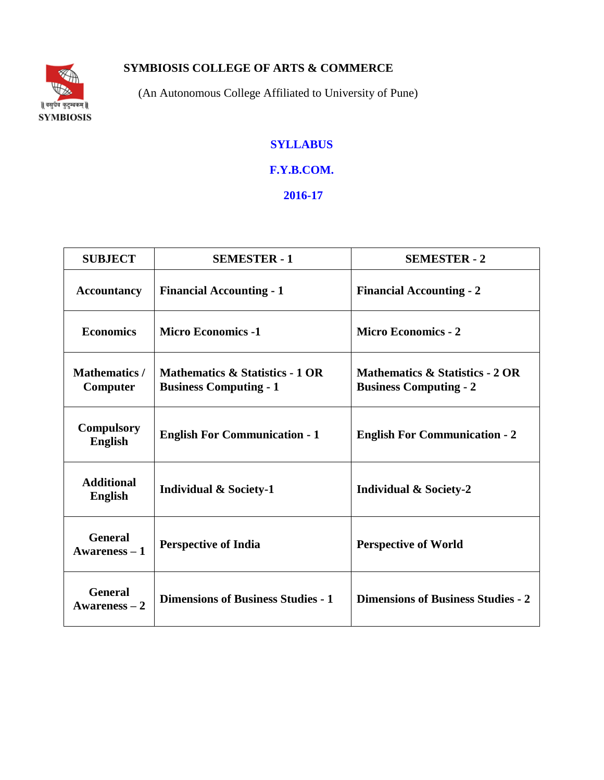# **SYMBIOSIS COLLEGE OF ARTS & COMMERCE**



(An Autonomous College Affiliated to University of Pune)

## **SYLLABUS**

## **F.Y.B.COM.**

### **2016-17**

| <b>SUBJECT</b>                      | <b>SEMESTER - 1</b>                                                         | <b>SEMESTER - 2</b>                                              |
|-------------------------------------|-----------------------------------------------------------------------------|------------------------------------------------------------------|
| <b>Accountancy</b>                  | <b>Financial Accounting - 1</b>                                             | <b>Financial Accounting - 2</b>                                  |
| <b>Economics</b>                    | <b>Micro Economics -1</b>                                                   | <b>Micro Economics - 2</b>                                       |
| <b>Mathematics/</b><br>Computer     | <b>Mathematics &amp; Statistics - 1 OR</b><br><b>Business Computing - 1</b> | Mathematics & Statistics - 2 OR<br><b>Business Computing - 2</b> |
| <b>Compulsory</b><br><b>English</b> | <b>English For Communication - 1</b>                                        | <b>English For Communication - 2</b>                             |
| <b>Additional</b><br><b>English</b> | <b>Individual &amp; Society-1</b>                                           | <b>Individual &amp; Society-2</b>                                |
| <b>General</b><br>$A$ wareness $-1$ | <b>Perspective of India</b>                                                 | <b>Perspective of World</b>                                      |
| <b>General</b><br>$A$ wareness $-2$ | <b>Dimensions of Business Studies - 1</b>                                   | <b>Dimensions of Business Studies - 2</b>                        |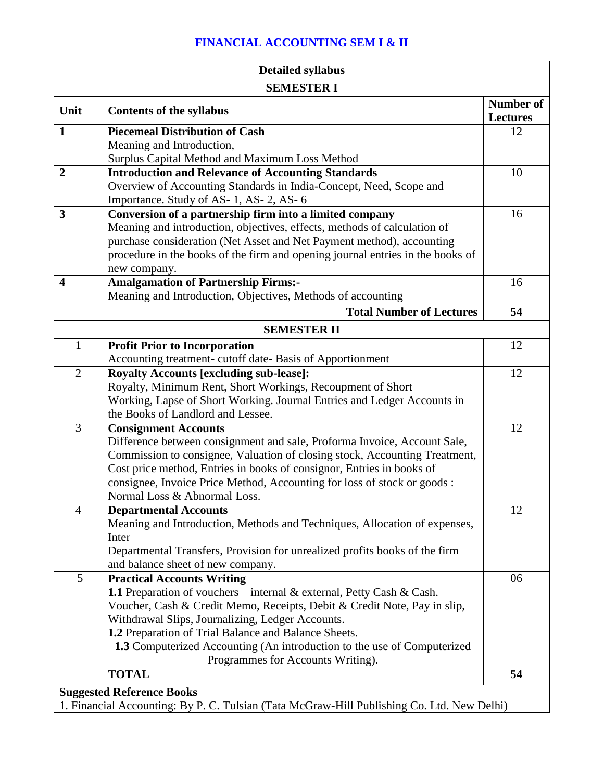## **FINANCIAL ACCOUNTING SEM I & II**

|                         | <b>Detailed syllabus</b>                                                                                    |                              |
|-------------------------|-------------------------------------------------------------------------------------------------------------|------------------------------|
|                         | <b>SEMESTER I</b>                                                                                           |                              |
| Unit                    | <b>Contents of the syllabus</b>                                                                             | Number of<br><b>Lectures</b> |
| $\mathbf{1}$            | <b>Piecemeal Distribution of Cash</b>                                                                       | 12                           |
|                         | Meaning and Introduction,                                                                                   |                              |
|                         | Surplus Capital Method and Maximum Loss Method                                                              |                              |
| $\overline{2}$          | <b>Introduction and Relevance of Accounting Standards</b>                                                   | 10                           |
|                         | Overview of Accounting Standards in India-Concept, Need, Scope and<br>Importance. Study of AS-1, AS-2, AS-6 |                              |
| $\mathbf{3}$            | Conversion of a partnership firm into a limited company                                                     | 16                           |
|                         | Meaning and introduction, objectives, effects, methods of calculation of                                    |                              |
|                         | purchase consideration (Net Asset and Net Payment method), accounting                                       |                              |
|                         | procedure in the books of the firm and opening journal entries in the books of                              |                              |
|                         | new company.                                                                                                |                              |
| $\overline{\mathbf{4}}$ | <b>Amalgamation of Partnership Firms:-</b>                                                                  | 16                           |
|                         | Meaning and Introduction, Objectives, Methods of accounting                                                 |                              |
|                         | <b>Total Number of Lectures</b>                                                                             | 54                           |
|                         | <b>SEMESTER II</b>                                                                                          |                              |
| $\mathbf{1}$            | <b>Profit Prior to Incorporation</b>                                                                        | 12                           |
|                         | Accounting treatment-cutoff date-Basis of Apportionment                                                     |                              |
| $\mathfrak{2}$          | <b>Royalty Accounts [excluding sub-lease]:</b>                                                              | 12                           |
|                         | Royalty, Minimum Rent, Short Workings, Recoupment of Short                                                  |                              |
|                         | Working, Lapse of Short Working. Journal Entries and Ledger Accounts in                                     |                              |
|                         | the Books of Landlord and Lessee.                                                                           |                              |
| 3                       | <b>Consignment Accounts</b>                                                                                 | 12                           |
|                         | Difference between consignment and sale, Proforma Invoice, Account Sale,                                    |                              |
|                         | Commission to consignee, Valuation of closing stock, Accounting Treatment,                                  |                              |
|                         | Cost price method, Entries in books of consignor, Entries in books of                                       |                              |
|                         | consignee, Invoice Price Method, Accounting for loss of stock or goods :                                    |                              |
| $\overline{4}$          | Normal Loss & Abnormal Loss.                                                                                |                              |
|                         | <b>Departmental Accounts</b><br>Meaning and Introduction, Methods and Techniques, Allocation of expenses,   | 12                           |
|                         | Inter                                                                                                       |                              |
|                         | Departmental Transfers, Provision for unrealized profits books of the firm                                  |                              |
|                         | and balance sheet of new company.                                                                           |                              |
| 5                       | <b>Practical Accounts Writing</b>                                                                           | 06                           |
|                         | 1.1 Preparation of vouchers - internal & external, Petty Cash & Cash.                                       |                              |
|                         | Voucher, Cash & Credit Memo, Receipts, Debit & Credit Note, Pay in slip,                                    |                              |
|                         | Withdrawal Slips, Journalizing, Ledger Accounts.                                                            |                              |
|                         | 1.2 Preparation of Trial Balance and Balance Sheets.                                                        |                              |
|                         | <b>1.3</b> Computerized Accounting (An introduction to the use of Computerized                              |                              |
|                         | Programmes for Accounts Writing).                                                                           |                              |
|                         | <b>TOTAL</b>                                                                                                | 54                           |
|                         | <b>Suggested Reference Books</b>                                                                            |                              |
|                         | 1. Financial Accounting: By P. C. Tulsian (Tata McGraw-Hill Publishing Co. Ltd. New Delhi)                  |                              |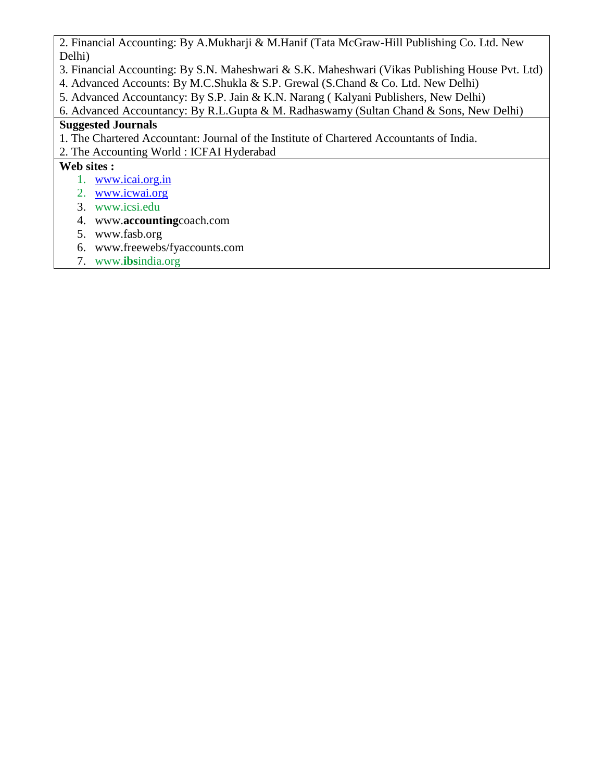2. Financial Accounting: By A.Mukharji & M.Hanif (Tata McGraw-Hill Publishing Co. Ltd. New Delhi)

- 3. Financial Accounting: By S.N. Maheshwari & S.K. Maheshwari (Vikas Publishing House Pvt. Ltd)
- 4. Advanced Accounts: By M.C.Shukla & S.P. Grewal (S.Chand & Co. Ltd. New Delhi)
- 5. Advanced Accountancy: By S.P. Jain & K.N. Narang ( Kalyani Publishers, New Delhi)
- 6. Advanced Accountancy: By R.L.Gupta & M. Radhaswamy (Sultan Chand & Sons, New Delhi)

### **Suggested Journals**

- 1. The Chartered Accountant: Journal of the Institute of Chartered Accountants of India.
- 2. The Accounting World : ICFAI Hyderabad

## **Web sites :**

- 1. [www.icai.org.in](http://www.icai.org.in/)
- 2. [www.icwai.org](http://www.icwai.org/)
- 3. www.icsi.edu
- 4. www.**accounting**coach.com
- 5. www.fasb.org
- 6. www.freewebs/fyaccounts.com
- 7. www.**ibs**india.org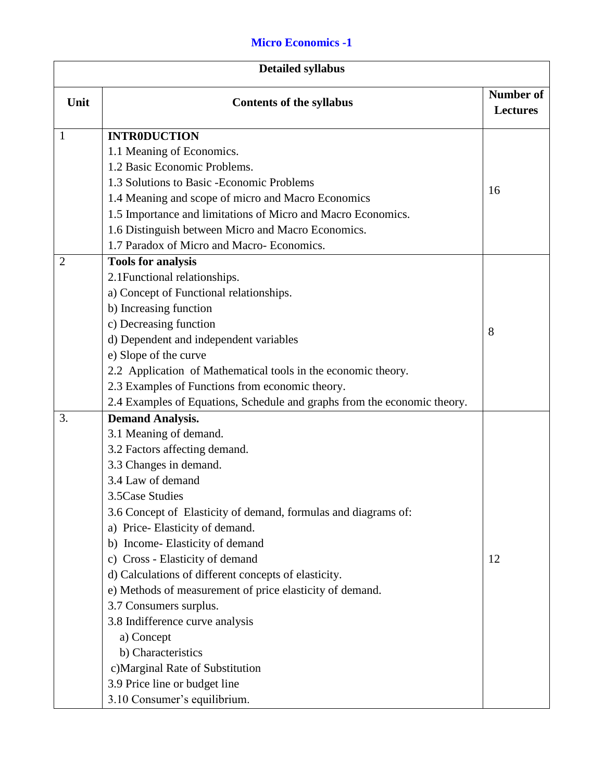## **Micro Economics -1**

|                | <b>Detailed syllabus</b>                                                 |                                     |  |
|----------------|--------------------------------------------------------------------------|-------------------------------------|--|
| Unit           | <b>Contents of the syllabus</b>                                          | <b>Number of</b><br><b>Lectures</b> |  |
| $\mathbf{1}$   | <b>INTR0DUCTION</b>                                                      |                                     |  |
|                | 1.1 Meaning of Economics.                                                |                                     |  |
|                | 1.2 Basic Economic Problems.                                             |                                     |  |
|                | 1.3 Solutions to Basic - Economic Problems                               | 16                                  |  |
|                | 1.4 Meaning and scope of micro and Macro Economics                       |                                     |  |
|                | 1.5 Importance and limitations of Micro and Macro Economics.             |                                     |  |
|                | 1.6 Distinguish between Micro and Macro Economics.                       |                                     |  |
|                | 1.7 Paradox of Micro and Macro-Economics.                                |                                     |  |
| $\overline{2}$ | <b>Tools for analysis</b>                                                |                                     |  |
|                | 2.1 Functional relationships.                                            |                                     |  |
|                | a) Concept of Functional relationships.                                  |                                     |  |
|                | b) Increasing function                                                   |                                     |  |
|                | c) Decreasing function                                                   | 8                                   |  |
|                | d) Dependent and independent variables                                   |                                     |  |
|                | e) Slope of the curve                                                    |                                     |  |
|                | 2.2 Application of Mathematical tools in the economic theory.            |                                     |  |
|                | 2.3 Examples of Functions from economic theory.                          |                                     |  |
|                | 2.4 Examples of Equations, Schedule and graphs from the economic theory. |                                     |  |
| 3.             | <b>Demand Analysis.</b>                                                  |                                     |  |
|                | 3.1 Meaning of demand.                                                   |                                     |  |
|                | 3.2 Factors affecting demand.                                            |                                     |  |
|                | 3.3 Changes in demand.                                                   |                                     |  |
|                | 3.4 Law of demand                                                        |                                     |  |
|                | 3.5 Case Studies                                                         |                                     |  |
|                | 3.6 Concept of Elasticity of demand, formulas and diagrams of:           |                                     |  |
|                | a) Price-Elasticity of demand.                                           |                                     |  |
|                | b) Income-Elasticity of demand                                           |                                     |  |
|                | c) Cross - Elasticity of demand                                          | 12                                  |  |
|                | d) Calculations of different concepts of elasticity.                     |                                     |  |
|                | e) Methods of measurement of price elasticity of demand.                 |                                     |  |
|                | 3.7 Consumers surplus.                                                   |                                     |  |
|                | 3.8 Indifference curve analysis                                          |                                     |  |
|                | a) Concept                                                               |                                     |  |
|                | b) Characteristics                                                       |                                     |  |
|                | c)Marginal Rate of Substitution                                          |                                     |  |
|                | 3.9 Price line or budget line                                            |                                     |  |
|                | 3.10 Consumer's equilibrium.                                             |                                     |  |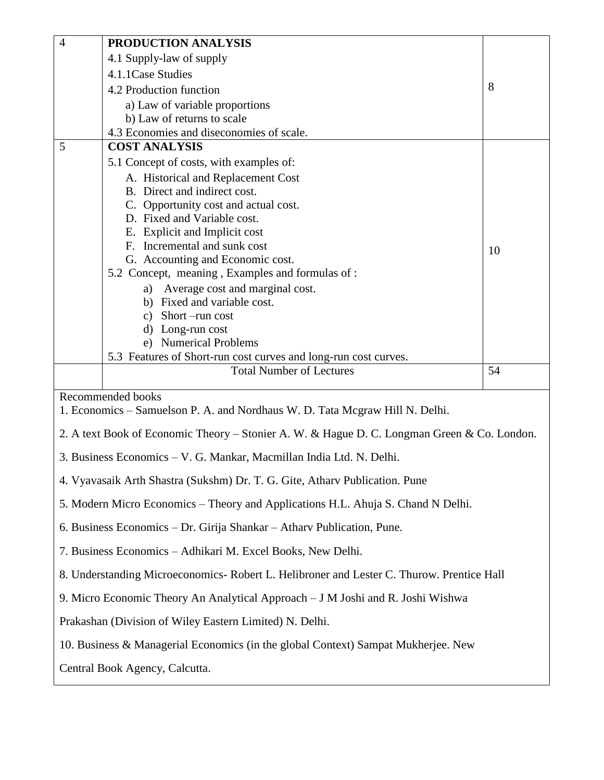| $\overline{4}$                                                                                    | PRODUCTION ANALYSIS                                                               |    |  |
|---------------------------------------------------------------------------------------------------|-----------------------------------------------------------------------------------|----|--|
|                                                                                                   | 4.1 Supply-law of supply                                                          |    |  |
|                                                                                                   | 4.1.1 Case Studies                                                                |    |  |
|                                                                                                   | 4.2 Production function                                                           | 8  |  |
|                                                                                                   | a) Law of variable proportions                                                    |    |  |
|                                                                                                   | b) Law of returns to scale                                                        |    |  |
|                                                                                                   | 4.3 Economies and diseconomies of scale.                                          |    |  |
| 5                                                                                                 | <b>COST ANALYSIS</b>                                                              |    |  |
|                                                                                                   | 5.1 Concept of costs, with examples of:                                           |    |  |
|                                                                                                   | A. Historical and Replacement Cost<br>B. Direct and indirect cost.                |    |  |
|                                                                                                   | C. Opportunity cost and actual cost.                                              |    |  |
|                                                                                                   | D. Fixed and Variable cost.                                                       |    |  |
|                                                                                                   | E. Explicit and Implicit cost                                                     |    |  |
|                                                                                                   | F. Incremental and sunk cost                                                      | 10 |  |
|                                                                                                   | G. Accounting and Economic cost.                                                  |    |  |
|                                                                                                   | 5.2 Concept, meaning, Examples and formulas of:                                   |    |  |
|                                                                                                   | Average cost and marginal cost.<br>a)                                             |    |  |
|                                                                                                   | b) Fixed and variable cost.                                                       |    |  |
|                                                                                                   | c) Short-run cost<br>d) Long-run cost                                             |    |  |
|                                                                                                   | e) Numerical Problems                                                             |    |  |
|                                                                                                   | 5.3 Features of Short-run cost curves and long-run cost curves.                   |    |  |
|                                                                                                   | <b>Total Number of Lectures</b>                                                   | 54 |  |
|                                                                                                   |                                                                                   |    |  |
| Recommended books<br>1. Economics – Samuelson P. A. and Nordhaus W. D. Tata Mcgraw Hill N. Delhi. |                                                                                   |    |  |
| 2. A text Book of Economic Theory – Stonier A. W. & Hague D. C. Longman Green & Co. London.       |                                                                                   |    |  |
| 3. Business Economics – V. G. Mankar, Macmillan India Ltd. N. Delhi.                              |                                                                                   |    |  |
|                                                                                                   | 4. Vyavasaik Arth Shastra (Sukshm) Dr. T. G. Gite, Atharv Publication. Pune       |    |  |
| 5. Modern Micro Economics – Theory and Applications H.L. Ahuja S. Chand N Delhi.                  |                                                                                   |    |  |
| 6. Business Economics – Dr. Girija Shankar – Athary Publication, Pune.                            |                                                                                   |    |  |
| 7. Business Economics - Adhikari M. Excel Books, New Delhi.                                       |                                                                                   |    |  |
| 8. Understanding Microeconomics-Robert L. Helibroner and Lester C. Thurow. Prentice Hall          |                                                                                   |    |  |
| 9. Micro Economic Theory An Analytical Approach - J M Joshi and R. Joshi Wishwa                   |                                                                                   |    |  |
| Prakashan (Division of Wiley Eastern Limited) N. Delhi.                                           |                                                                                   |    |  |
|                                                                                                   | 10. Business & Managerial Economics (in the global Context) Sampat Mukherjee. New |    |  |
| Central Book Agency, Calcutta.                                                                    |                                                                                   |    |  |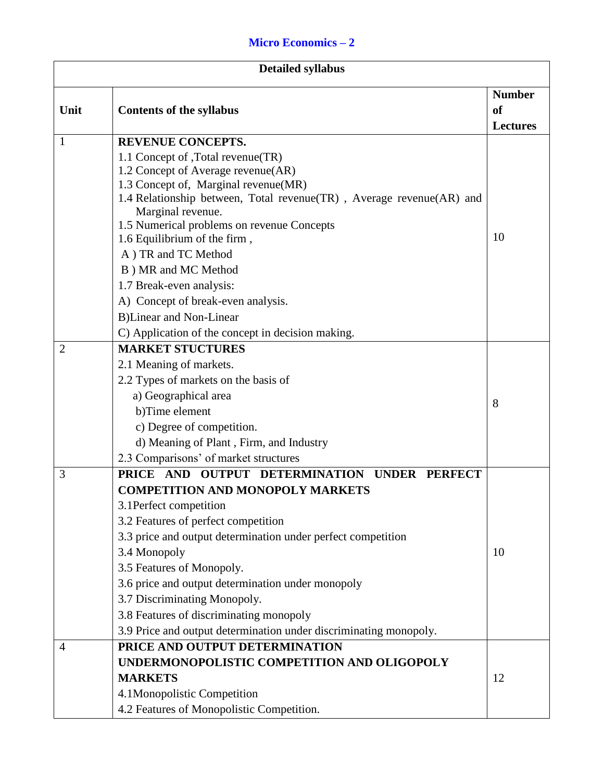## **Micro Economics – 2**

| Unit<br><b>Contents of the syllabus</b><br>of<br><b>REVENUE CONCEPTS.</b><br>1<br>1.1 Concept of ,Total revenue(TR)<br>1.2 Concept of Average revenue(AR)<br>1.3 Concept of, Marginal revenue(MR)<br>1.4 Relationship between, Total revenue(TR), Average revenue(AR) and<br>Marginal revenue.<br>1.5 Numerical problems on revenue Concepts<br>10<br>1.6 Equilibrium of the firm,<br>A) TR and TC Method<br>B) MR and MC Method<br>1.7 Break-even analysis:<br>A) Concept of break-even analysis.<br><b>B)</b> Linear and Non-Linear<br>C) Application of the concept in decision making.<br><b>MARKET STUCTURES</b><br>$\overline{2}$<br>2.1 Meaning of markets.<br>2.2 Types of markets on the basis of<br>a) Geographical area<br>8<br>b)Time element<br>c) Degree of competition.<br>d) Meaning of Plant, Firm, and Industry<br>2.3 Comparisons' of market structures<br>PRICE AND<br><b>OUTPUT DETERMINATION UNDER PERFECT</b><br>3<br><b>COMPETITION AND MONOPOLY MARKETS</b><br>3.1Perfect competition<br>3.2 Features of perfect competition<br>3.3 price and output determination under perfect competition<br>3.4 Monopoly<br>10<br>3.5 Features of Monopoly.<br>3.6 price and output determination under monopoly<br>3.7 Discriminating Monopoly.<br>3.8 Features of discriminating monopoly<br>3.9 Price and output determination under discriminating monopoly.<br>PRICE AND OUTPUT DETERMINATION<br>$\overline{4}$<br>UNDERMONOPOLISTIC COMPETITION AND OLIGOPOLY | <b>Detailed syllabus</b> |                |                                  |
|----------------------------------------------------------------------------------------------------------------------------------------------------------------------------------------------------------------------------------------------------------------------------------------------------------------------------------------------------------------------------------------------------------------------------------------------------------------------------------------------------------------------------------------------------------------------------------------------------------------------------------------------------------------------------------------------------------------------------------------------------------------------------------------------------------------------------------------------------------------------------------------------------------------------------------------------------------------------------------------------------------------------------------------------------------------------------------------------------------------------------------------------------------------------------------------------------------------------------------------------------------------------------------------------------------------------------------------------------------------------------------------------------------------------------------------------------------------------------------|--------------------------|----------------|----------------------------------|
|                                                                                                                                                                                                                                                                                                                                                                                                                                                                                                                                                                                                                                                                                                                                                                                                                                                                                                                                                                                                                                                                                                                                                                                                                                                                                                                                                                                                                                                                                  |                          |                | <b>Number</b><br><b>Lectures</b> |
|                                                                                                                                                                                                                                                                                                                                                                                                                                                                                                                                                                                                                                                                                                                                                                                                                                                                                                                                                                                                                                                                                                                                                                                                                                                                                                                                                                                                                                                                                  |                          |                |                                  |
|                                                                                                                                                                                                                                                                                                                                                                                                                                                                                                                                                                                                                                                                                                                                                                                                                                                                                                                                                                                                                                                                                                                                                                                                                                                                                                                                                                                                                                                                                  |                          |                |                                  |
| 4.1Monopolistic Competition                                                                                                                                                                                                                                                                                                                                                                                                                                                                                                                                                                                                                                                                                                                                                                                                                                                                                                                                                                                                                                                                                                                                                                                                                                                                                                                                                                                                                                                      |                          | <b>MARKETS</b> | 12                               |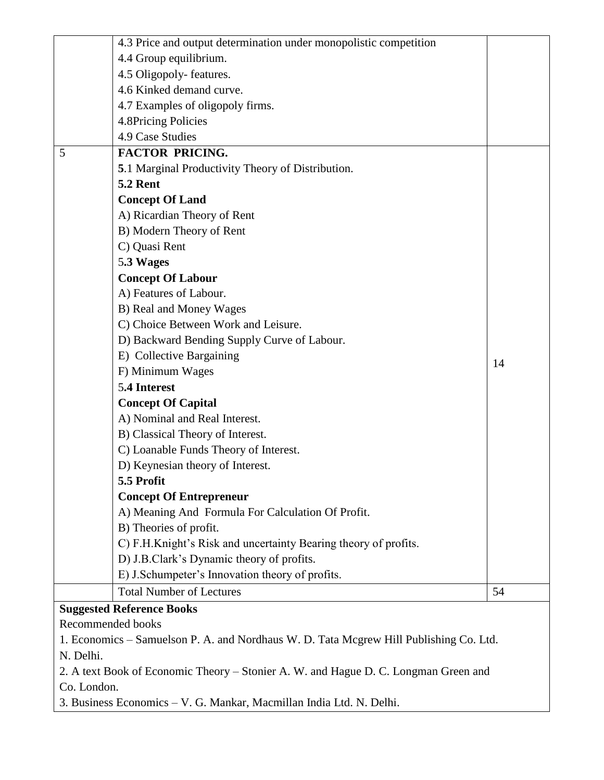|                                                                                     | 4.3 Price and output determination under monopolistic competition                      |    |
|-------------------------------------------------------------------------------------|----------------------------------------------------------------------------------------|----|
|                                                                                     | 4.4 Group equilibrium.                                                                 |    |
|                                                                                     | 4.5 Oligopoly-features.                                                                |    |
|                                                                                     | 4.6 Kinked demand curve.                                                               |    |
|                                                                                     | 4.7 Examples of oligopoly firms.                                                       |    |
|                                                                                     | 4.8Pricing Policies                                                                    |    |
|                                                                                     | 4.9 Case Studies                                                                       |    |
| 5                                                                                   | <b>FACTOR PRICING.</b>                                                                 |    |
|                                                                                     | 5.1 Marginal Productivity Theory of Distribution.                                      |    |
|                                                                                     | <b>5.2 Rent</b>                                                                        |    |
|                                                                                     | <b>Concept Of Land</b>                                                                 |    |
|                                                                                     | A) Ricardian Theory of Rent                                                            |    |
|                                                                                     | B) Modern Theory of Rent                                                               |    |
|                                                                                     | C) Quasi Rent                                                                          |    |
|                                                                                     | 5.3 Wages                                                                              |    |
|                                                                                     | <b>Concept Of Labour</b>                                                               |    |
|                                                                                     | A) Features of Labour.                                                                 |    |
|                                                                                     | B) Real and Money Wages                                                                |    |
|                                                                                     | C) Choice Between Work and Leisure.                                                    |    |
|                                                                                     | D) Backward Bending Supply Curve of Labour.                                            |    |
|                                                                                     | E) Collective Bargaining                                                               |    |
|                                                                                     | F) Minimum Wages                                                                       | 14 |
|                                                                                     | 5.4 Interest                                                                           |    |
|                                                                                     | <b>Concept Of Capital</b>                                                              |    |
|                                                                                     | A) Nominal and Real Interest.                                                          |    |
|                                                                                     | B) Classical Theory of Interest.                                                       |    |
|                                                                                     | C) Loanable Funds Theory of Interest.                                                  |    |
|                                                                                     | D) Keynesian theory of Interest.                                                       |    |
|                                                                                     | 5.5 Profit                                                                             |    |
|                                                                                     | <b>Concept Of Entrepreneur</b>                                                         |    |
|                                                                                     | A) Meaning And Formula For Calculation Of Profit.                                      |    |
|                                                                                     | B) Theories of profit.                                                                 |    |
|                                                                                     | C) F.H.Knight's Risk and uncertainty Bearing theory of profits.                        |    |
|                                                                                     | D) J.B.Clark's Dynamic theory of profits.                                              |    |
|                                                                                     | E) J.Schumpeter's Innovation theory of profits.                                        |    |
|                                                                                     | <b>Total Number of Lectures</b>                                                        | 54 |
|                                                                                     | <b>Suggested Reference Books</b>                                                       |    |
| Recommended books                                                                   |                                                                                        |    |
|                                                                                     | 1. Economics – Samuelson P. A. and Nordhaus W. D. Tata Mcgrew Hill Publishing Co. Ltd. |    |
| N. Delhi.                                                                           |                                                                                        |    |
| 2. A text Book of Economic Theory – Stonier A. W. and Hague D. C. Longman Green and |                                                                                        |    |
| Co. London.                                                                         |                                                                                        |    |
|                                                                                     | 3. Business Economics - V. G. Mankar, Macmillan India Ltd. N. Delhi.                   |    |
|                                                                                     |                                                                                        |    |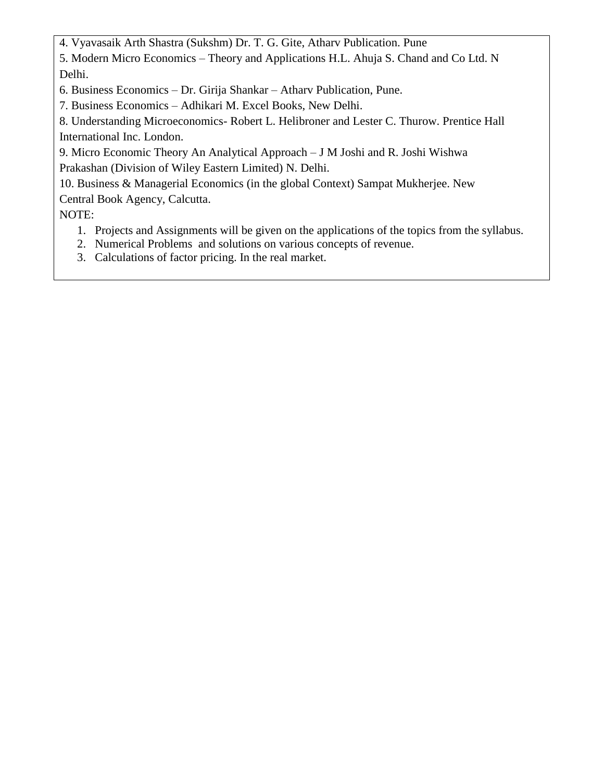4. Vyavasaik Arth Shastra (Sukshm) Dr. T. G. Gite, Atharv Publication. Pune

5. Modern Micro Economics – Theory and Applications H.L. Ahuja S. Chand and Co Ltd. N Delhi.

6. Business Economics – Dr. Girija Shankar – Atharv Publication, Pune.

7. Business Economics – Adhikari M. Excel Books, New Delhi.

8. Understanding Microeconomics- Robert L. Helibroner and Lester C. Thurow. Prentice Hall International Inc. London.

9. Micro Economic Theory An Analytical Approach – J M Joshi and R. Joshi Wishwa Prakashan (Division of Wiley Eastern Limited) N. Delhi.

10. Business & Managerial Economics (in the global Context) Sampat Mukherjee. New Central Book Agency, Calcutta.

NOTE:

- 1. Projects and Assignments will be given on the applications of the topics from the syllabus.
- 2. Numerical Problems and solutions on various concepts of revenue.
- 3. Calculations of factor pricing. In the real market.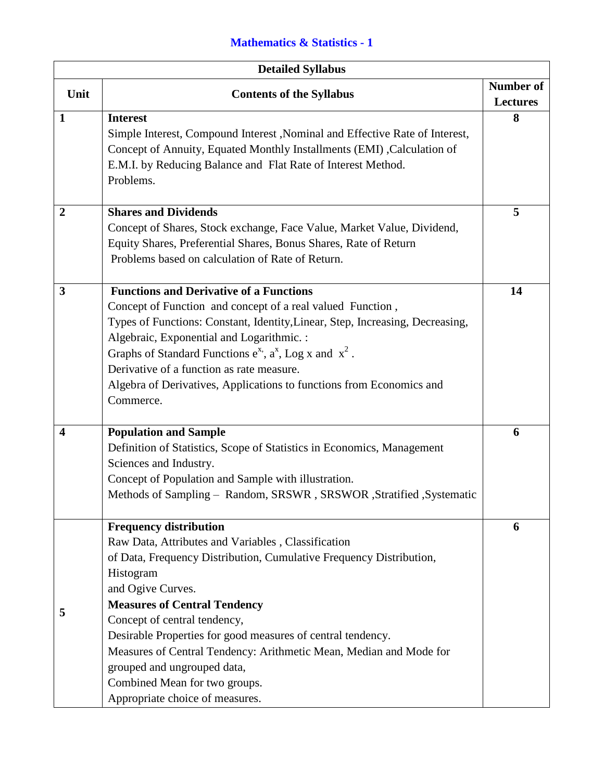# **Mathematics & Statistics - 1**

|                         | <b>Detailed Syllabus</b>                                                      |                  |  |
|-------------------------|-------------------------------------------------------------------------------|------------------|--|
| Unit                    | <b>Contents of the Syllabus</b>                                               | <b>Number of</b> |  |
|                         |                                                                               | <b>Lectures</b>  |  |
| 1                       | <b>Interest</b>                                                               | 8                |  |
|                         | Simple Interest, Compound Interest, Nominal and Effective Rate of Interest,   |                  |  |
|                         | Concept of Annuity, Equated Monthly Installments (EMI), Calculation of        |                  |  |
|                         | E.M.I. by Reducing Balance and Flat Rate of Interest Method.                  |                  |  |
|                         | Problems.                                                                     |                  |  |
| $\boldsymbol{2}$        | <b>Shares and Dividends</b>                                                   | 5                |  |
|                         | Concept of Shares, Stock exchange, Face Value, Market Value, Dividend,        |                  |  |
|                         | Equity Shares, Preferential Shares, Bonus Shares, Rate of Return              |                  |  |
|                         | Problems based on calculation of Rate of Return.                              |                  |  |
|                         |                                                                               |                  |  |
| 3                       | <b>Functions and Derivative of a Functions</b>                                | 14               |  |
|                         | Concept of Function and concept of a real valued Function,                    |                  |  |
|                         | Types of Functions: Constant, Identity, Linear, Step, Increasing, Decreasing, |                  |  |
|                         | Algebraic, Exponential and Logarithmic. :                                     |                  |  |
|                         | Graphs of Standard Functions $e^{x}$ , $a^{x}$ , Log x and $x^{2}$ .          |                  |  |
|                         | Derivative of a function as rate measure.                                     |                  |  |
|                         | Algebra of Derivatives, Applications to functions from Economics and          |                  |  |
|                         | Commerce.                                                                     |                  |  |
| $\overline{\mathbf{4}}$ | <b>Population and Sample</b>                                                  | 6                |  |
|                         | Definition of Statistics, Scope of Statistics in Economics, Management        |                  |  |
|                         | Sciences and Industry.                                                        |                  |  |
|                         | Concept of Population and Sample with illustration.                           |                  |  |
|                         | Methods of Sampling - Random, SRSWR, SRSWOR, Stratified, Systematic           |                  |  |
|                         |                                                                               |                  |  |
|                         | <b>Frequency distribution</b>                                                 | 6                |  |
|                         | Raw Data, Attributes and Variables, Classification                            |                  |  |
|                         | of Data, Frequency Distribution, Cumulative Frequency Distribution,           |                  |  |
| 5                       | Histogram                                                                     |                  |  |
|                         | and Ogive Curves.                                                             |                  |  |
|                         | <b>Measures of Central Tendency</b>                                           |                  |  |
|                         | Concept of central tendency,                                                  |                  |  |
|                         | Desirable Properties for good measures of central tendency.                   |                  |  |
|                         | Measures of Central Tendency: Arithmetic Mean, Median and Mode for            |                  |  |
|                         | grouped and ungrouped data,                                                   |                  |  |
|                         | Combined Mean for two groups.                                                 |                  |  |
|                         | Appropriate choice of measures.                                               |                  |  |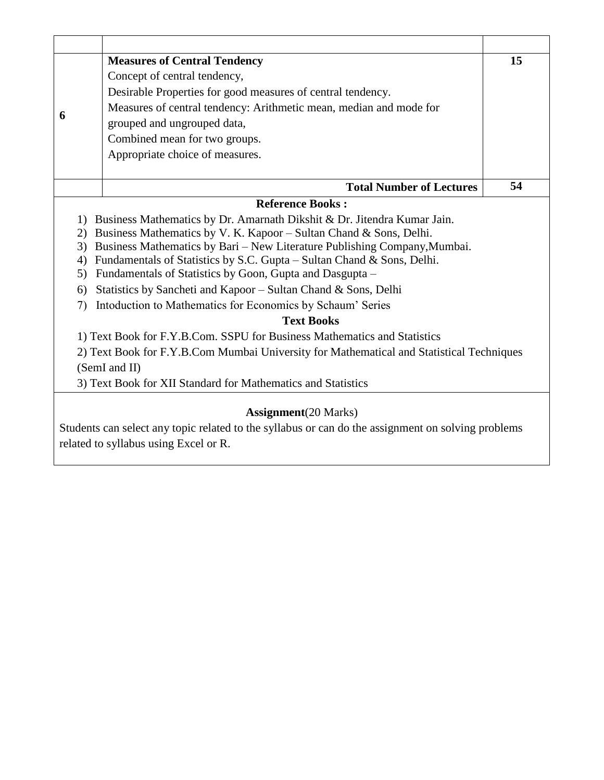|                  | <b>Measures of Central Tendency</b>                                                                                                | 15 |
|------------------|------------------------------------------------------------------------------------------------------------------------------------|----|
|                  | Concept of central tendency,                                                                                                       |    |
|                  | Desirable Properties for good measures of central tendency.                                                                        |    |
|                  | Measures of central tendency: Arithmetic mean, median and mode for                                                                 |    |
| 6                | grouped and ungrouped data,                                                                                                        |    |
|                  | Combined mean for two groups.                                                                                                      |    |
|                  | Appropriate choice of measures.                                                                                                    |    |
|                  |                                                                                                                                    |    |
|                  | <b>Total Number of Lectures</b>                                                                                                    | 54 |
|                  | <b>Reference Books:</b>                                                                                                            |    |
| $\left( \right)$ | Business Mathematics by Dr. Amarnath Dikshit & Dr. Jitendra Kumar Jain.                                                            |    |
| 2)               | Business Mathematics by V. K. Kapoor – Sultan Chand & Sons, Delhi.                                                                 |    |
| 3)               | Business Mathematics by Bari – New Literature Publishing Company, Mumbai.                                                          |    |
| 4)<br>5)         | Fundamentals of Statistics by S.C. Gupta - Sultan Chand & Sons, Delhi.<br>Fundamentals of Statistics by Goon, Gupta and Dasgupta - |    |
| 6)               | Statistics by Sancheti and Kapoor - Sultan Chand & Sons, Delhi                                                                     |    |
| 7)               | Intoduction to Mathematics for Economics by Schaum' Series                                                                         |    |
|                  | <b>Text Books</b>                                                                                                                  |    |
|                  | 1) Text Book for F.Y.B.Com. SSPU for Business Mathematics and Statistics                                                           |    |
|                  | 2) Text Book for F.Y.B.Com Mumbai University for Mathematical and Statistical Techniques                                           |    |
|                  | (SemI and II)                                                                                                                      |    |
|                  | 3) Text Book for XII Standard for Mathematics and Statistics                                                                       |    |
|                  |                                                                                                                                    |    |
|                  | <b>Assignment</b> (20 Marks)                                                                                                       |    |
|                  | Students can select any topic related to the syllabus or can do the assignment on solving problems                                 |    |
|                  | related to syllabus using Excel or R.                                                                                              |    |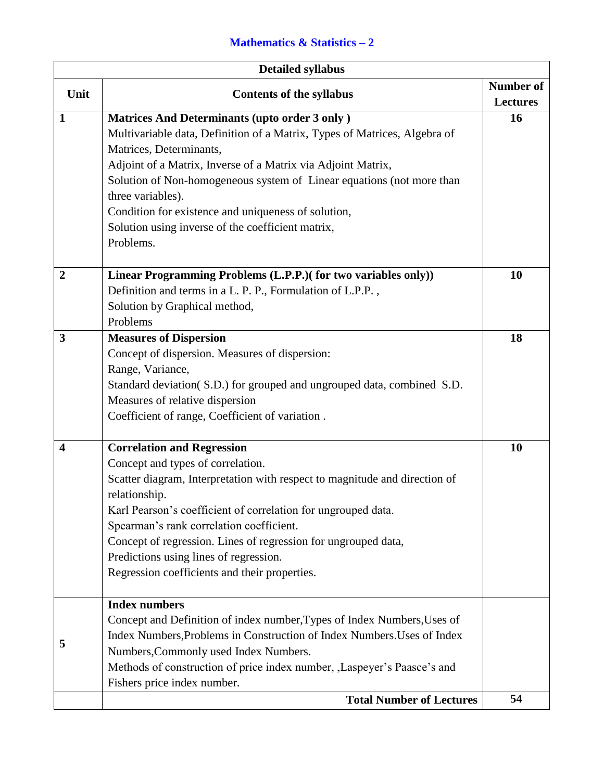## **Mathematics & Statistics – 2**

|                         | <b>Detailed syllabus</b>                                                                                   |                  |
|-------------------------|------------------------------------------------------------------------------------------------------------|------------------|
| Unit                    | <b>Contents of the syllabus</b>                                                                            | <b>Number of</b> |
|                         |                                                                                                            | <b>Lectures</b>  |
| 1                       | Matrices And Determinants (upto order 3 only)                                                              | 16               |
|                         | Multivariable data, Definition of a Matrix, Types of Matrices, Algebra of                                  |                  |
|                         | Matrices, Determinants,                                                                                    |                  |
|                         | Adjoint of a Matrix, Inverse of a Matrix via Adjoint Matrix,                                               |                  |
|                         | Solution of Non-homogeneous system of Linear equations (not more than                                      |                  |
|                         | three variables).                                                                                          |                  |
|                         | Condition for existence and uniqueness of solution,                                                        |                  |
|                         | Solution using inverse of the coefficient matrix,                                                          |                  |
|                         | Problems.                                                                                                  |                  |
| $\overline{2}$          | Linear Programming Problems (L.P.P.)(for two variables only))                                              | 10               |
|                         | Definition and terms in a L. P. P., Formulation of L.P.P.,                                                 |                  |
|                         | Solution by Graphical method,                                                                              |                  |
|                         | Problems                                                                                                   |                  |
| 3                       | <b>Measures of Dispersion</b>                                                                              | 18               |
|                         | Concept of dispersion. Measures of dispersion:                                                             |                  |
|                         |                                                                                                            |                  |
|                         | Range, Variance,                                                                                           |                  |
|                         | Standard deviation (S.D.) for grouped and ungrouped data, combined S.D.<br>Measures of relative dispersion |                  |
|                         |                                                                                                            |                  |
|                         | Coefficient of range, Coefficient of variation.                                                            |                  |
| $\overline{\mathbf{4}}$ | <b>Correlation and Regression</b>                                                                          | 10               |
|                         | Concept and types of correlation.                                                                          |                  |
|                         | Scatter diagram, Interpretation with respect to magnitude and direction of                                 |                  |
|                         | relationship.                                                                                              |                  |
|                         | Karl Pearson's coefficient of correlation for ungrouped data.                                              |                  |
|                         | Spearman's rank correlation coefficient.                                                                   |                  |
|                         | Concept of regression. Lines of regression for ungrouped data,                                             |                  |
|                         | Predictions using lines of regression.                                                                     |                  |
|                         | Regression coefficients and their properties.                                                              |                  |
|                         | <b>Index numbers</b>                                                                                       |                  |
|                         | Concept and Definition of index number, Types of Index Numbers, Uses of                                    |                  |
| 5                       | Index Numbers, Problems in Construction of Index Numbers. Uses of Index                                    |                  |
|                         | Numbers, Commonly used Index Numbers.                                                                      |                  |
|                         | Methods of construction of price index number, , Laspeyer's Paasce's and                                   |                  |
|                         | Fishers price index number.                                                                                |                  |
|                         | <b>Total Number of Lectures</b>                                                                            | 54               |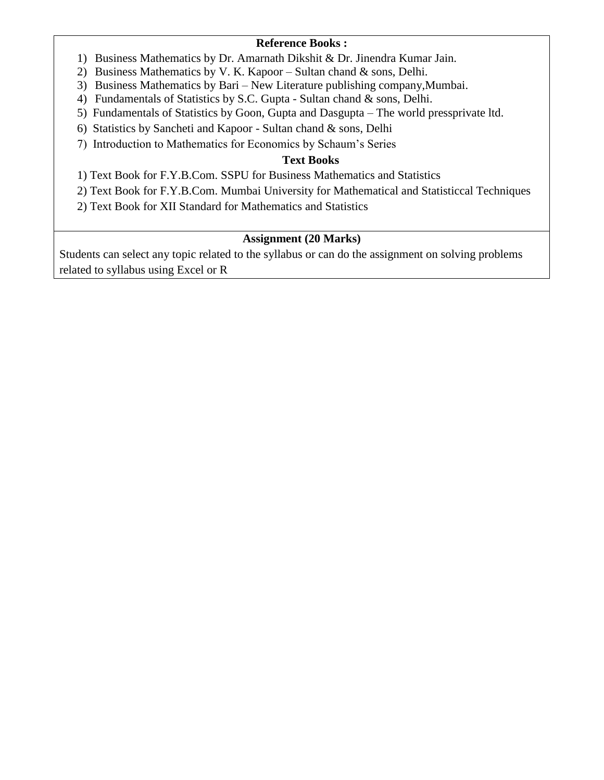#### **Reference Books :**

- 1) Business Mathematics by Dr. Amarnath Dikshit & Dr. Jinendra Kumar Jain.
- 2) Business Mathematics by V. K. Kapoor Sultan chand & sons, Delhi.
- 3) Business Mathematics by Bari New Literature publishing company,Mumbai.
- 4) Fundamentals of Statistics by S.C. Gupta Sultan chand & sons, Delhi.
- 5) Fundamentals of Statistics by Goon, Gupta and Dasgupta The world pressprivate ltd.
- 6) Statistics by Sancheti and Kapoor Sultan chand & sons, Delhi
- 7) Introduction to Mathematics for Economics by Schaum's Series

#### **Text Books**

1) Text Book for F.Y.B.Com. SSPU for Business Mathematics and Statistics

- 2) Text Book for F.Y.B.Com. Mumbai University for Mathematical and Statisticcal Techniques
- 2) Text Book for XII Standard for Mathematics and Statistics

#### **Assignment (20 Marks)**

Students can select any topic related to the syllabus or can do the assignment on solving problems related to syllabus using Excel or R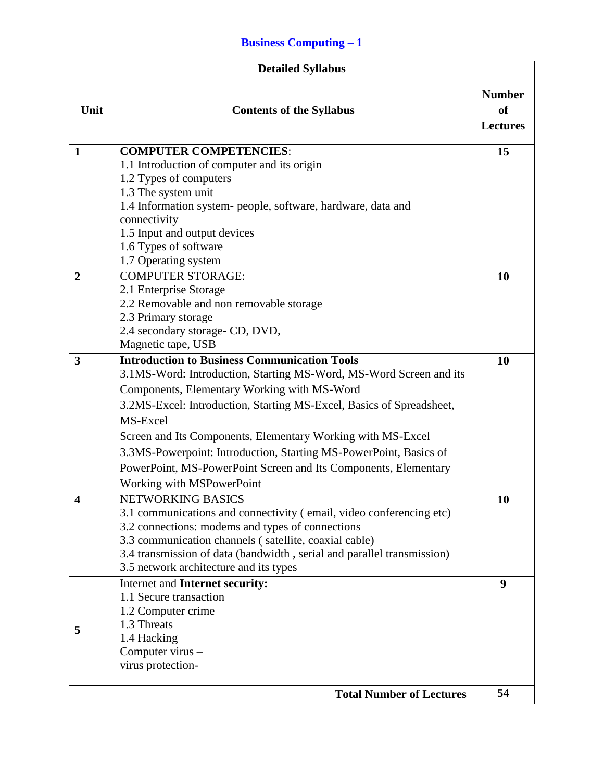# **Business Computing – 1**

| <b>Detailed Syllabus</b> |                                                                                                                                                                                                                                                                                                                           |                                        |
|--------------------------|---------------------------------------------------------------------------------------------------------------------------------------------------------------------------------------------------------------------------------------------------------------------------------------------------------------------------|----------------------------------------|
| Unit                     | <b>Contents of the Syllabus</b>                                                                                                                                                                                                                                                                                           | <b>Number</b><br>of<br><b>Lectures</b> |
| 1                        | <b>COMPUTER COMPETENCIES:</b>                                                                                                                                                                                                                                                                                             | 15                                     |
|                          | 1.1 Introduction of computer and its origin                                                                                                                                                                                                                                                                               |                                        |
|                          | 1.2 Types of computers                                                                                                                                                                                                                                                                                                    |                                        |
|                          | 1.3 The system unit<br>1.4 Information system- people, software, hardware, data and                                                                                                                                                                                                                                       |                                        |
|                          | connectivity                                                                                                                                                                                                                                                                                                              |                                        |
|                          | 1.5 Input and output devices                                                                                                                                                                                                                                                                                              |                                        |
|                          | 1.6 Types of software                                                                                                                                                                                                                                                                                                     |                                        |
|                          | 1.7 Operating system                                                                                                                                                                                                                                                                                                      |                                        |
| $\overline{2}$           | <b>COMPUTER STORAGE:</b>                                                                                                                                                                                                                                                                                                  | 10                                     |
|                          | 2.1 Enterprise Storage                                                                                                                                                                                                                                                                                                    |                                        |
|                          | 2.2 Removable and non removable storage<br>2.3 Primary storage                                                                                                                                                                                                                                                            |                                        |
|                          | 2.4 secondary storage- CD, DVD,                                                                                                                                                                                                                                                                                           |                                        |
|                          | Magnetic tape, USB                                                                                                                                                                                                                                                                                                        |                                        |
| 3                        | <b>Introduction to Business Communication Tools</b><br>3.1MS-Word: Introduction, Starting MS-Word, MS-Word Screen and its<br>Components, Elementary Working with MS-Word<br>3.2MS-Excel: Introduction, Starting MS-Excel, Basics of Spreadsheet,<br>MS-Excel                                                              | 10                                     |
|                          | Screen and Its Components, Elementary Working with MS-Excel<br>3.3MS-Powerpoint: Introduction, Starting MS-PowerPoint, Basics of<br>PowerPoint, MS-PowerPoint Screen and Its Components, Elementary<br>Working with MSPowerPoint                                                                                          |                                        |
| ◢                        | NETWORKING BASICS<br>3.1 communications and connectivity (email, video conferencing etc)<br>3.2 connections: modems and types of connections<br>3.3 communication channels (satellite, coaxial cable)<br>3.4 transmission of data (bandwidth, serial and parallel transmission)<br>3.5 network architecture and its types | 10                                     |
| 5                        | Internet and Internet security:<br>1.1 Secure transaction<br>1.2 Computer crime<br>1.3 Threats<br>1.4 Hacking<br>Computer virus -<br>virus protection-                                                                                                                                                                    | 9                                      |
|                          | <b>Total Number of Lectures</b>                                                                                                                                                                                                                                                                                           | 54                                     |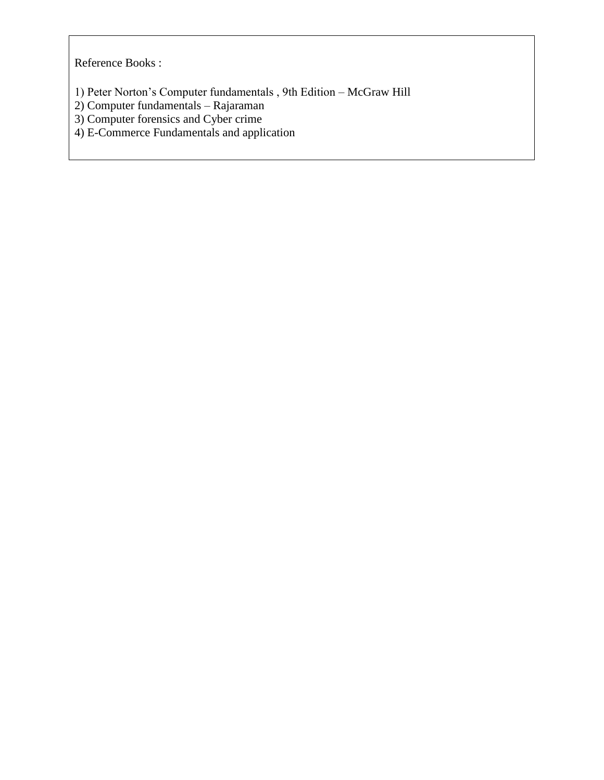Reference Books :

1) Peter Norton's Computer fundamentals , 9th Edition – McGraw Hill

2) Computer fundamentals – Rajaraman

3) Computer forensics and Cyber crime

4) E-Commerce Fundamentals and application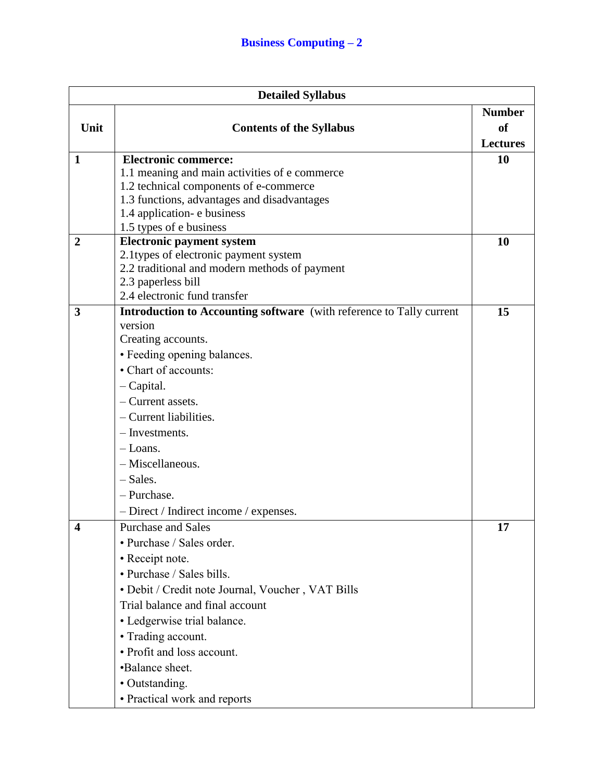| <b>Detailed Syllabus</b> |                                                                            |                 |
|--------------------------|----------------------------------------------------------------------------|-----------------|
|                          |                                                                            | <b>Number</b>   |
| Unit                     | <b>Contents of the Syllabus</b>                                            | of              |
|                          |                                                                            | <b>Lectures</b> |
| $\mathbf{1}$             | <b>Electronic commerce:</b>                                                | 10              |
|                          | 1.1 meaning and main activities of e commerce                              |                 |
|                          | 1.2 technical components of e-commerce                                     |                 |
|                          | 1.3 functions, advantages and disadvantages<br>1.4 application- e business |                 |
|                          | 1.5 types of e business                                                    |                 |
| $\overline{2}$           | <b>Electronic payment system</b>                                           | <b>10</b>       |
|                          | 2.1 types of electronic payment system                                     |                 |
|                          | 2.2 traditional and modern methods of payment                              |                 |
|                          | 2.3 paperless bill                                                         |                 |
|                          | 2.4 electronic fund transfer                                               |                 |
| 3                        | Introduction to Accounting software (with reference to Tally current       | 15              |
|                          | version                                                                    |                 |
|                          | Creating accounts.                                                         |                 |
|                          | • Feeding opening balances.                                                |                 |
|                          | • Chart of accounts:                                                       |                 |
|                          | $-$ Capital.                                                               |                 |
|                          | - Current assets.                                                          |                 |
|                          | - Current liabilities.                                                     |                 |
|                          | - Investments.                                                             |                 |
|                          | $-Loans.$                                                                  |                 |
|                          | - Miscellaneous.                                                           |                 |
|                          | $-$ Sales.                                                                 |                 |
|                          | - Purchase.                                                                |                 |
|                          | - Direct / Indirect income / expenses.                                     |                 |
|                          | Purchase and Sales                                                         | 17              |
|                          | • Purchase / Sales order.                                                  |                 |
|                          | • Receipt note.                                                            |                 |
|                          | • Purchase / Sales bills.                                                  |                 |
|                          | · Debit / Credit note Journal, Voucher, VAT Bills                          |                 |
|                          | Trial balance and final account                                            |                 |
|                          | • Ledgerwise trial balance.                                                |                 |
|                          | • Trading account.                                                         |                 |
|                          | • Profit and loss account.                                                 |                 |
|                          | •Balance sheet.                                                            |                 |
|                          | • Outstanding.                                                             |                 |
|                          | • Practical work and reports                                               |                 |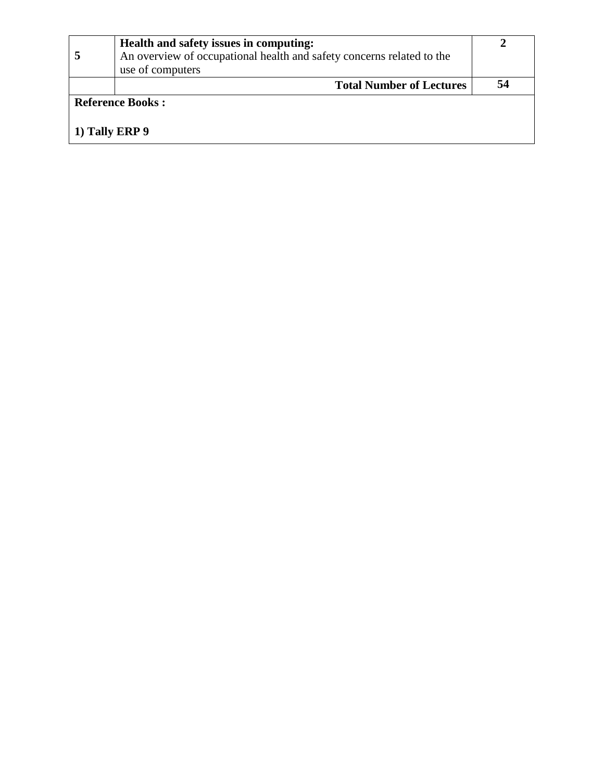| Health and safety issues in computing:<br>An overview of occupational health and safety concerns related to the<br>use of computers |    |
|-------------------------------------------------------------------------------------------------------------------------------------|----|
| <b>Total Number of Lectures</b>                                                                                                     | 54 |
| <b>Reference Books:</b><br>1) Tally ERP 9                                                                                           |    |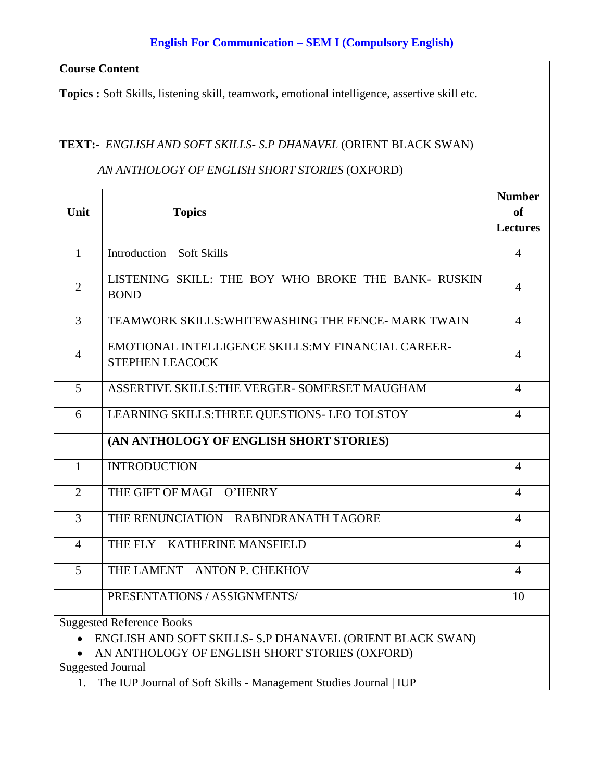#### **English For Communication – SEM I (Compulsory English)**

## **Course Content**

**Topics :** Soft Skills, listening skill, teamwork, emotional intelligence, assertive skill etc.

#### **TEXT:-** *ENGLISH AND SOFT SKILLS- S.P DHANAVEL* (ORIENT BLACK SWAN)

*AN ANTHOLOGY OF ENGLISH SHORT STORIES* (OXFORD)

|                                                                        |                                                                      | <b>Number</b>   |
|------------------------------------------------------------------------|----------------------------------------------------------------------|-----------------|
| Unit                                                                   | <b>Topics</b>                                                        | <sub>of</sub>   |
|                                                                        |                                                                      | <b>Lectures</b> |
|                                                                        |                                                                      |                 |
| $\mathbf{1}$                                                           | <b>Introduction – Soft Skills</b>                                    | $\overline{4}$  |
| $\overline{2}$                                                         | LISTENING SKILL: THE BOY WHO BROKE THE BANK- RUSKIN<br><b>BOND</b>   | $\overline{4}$  |
| 3                                                                      | TEAMWORK SKILLS: WHITEWASHING THE FENCE- MARK TWAIN                  | 4               |
| $\overline{4}$                                                         | EMOTIONAL INTELLIGENCE SKILLS: MY FINANCIAL CAREER-                  | $\overline{4}$  |
|                                                                        | <b>STEPHEN LEACOCK</b>                                               |                 |
| 5                                                                      | ASSERTIVE SKILLS: THE VERGER- SOMERSET MAUGHAM                       | 4               |
| 6                                                                      | LEARNING SKILLS: THREE QUESTIONS- LEO TOLSTOY                        | $\overline{4}$  |
|                                                                        | (AN ANTHOLOGY OF ENGLISH SHORT STORIES)                              |                 |
| 1                                                                      | <b>INTRODUCTION</b>                                                  | 4               |
| $\overline{2}$                                                         | THE GIFT OF MAGI - O'HENRY                                           | $\overline{4}$  |
| 3                                                                      | THE RENUNCIATION - RABINDRANATH TAGORE                               | $\overline{4}$  |
| 4                                                                      | THE FLY - KATHERINE MANSFIELD                                        | $\overline{4}$  |
| $\overline{5}$                                                         | THE LAMENT - ANTON P. CHEKHOV                                        | 4               |
|                                                                        | PRESENTATIONS / ASSIGNMENTS/                                         | 10              |
| <b>Suggested Reference Books</b>                                       |                                                                      |                 |
| ENGLISH AND SOFT SKILLS- S.P DHANAVEL (ORIENT BLACK SWAN)<br>$\bullet$ |                                                                      |                 |
| AN ANTHOLOGY OF ENGLISH SHORT STORIES (OXFORD)                         |                                                                      |                 |
|                                                                        | <b>Suggested Journal</b>                                             |                 |
|                                                                        | 1. The IUP Journal of Soft Skills - Management Studies Journal   IUP |                 |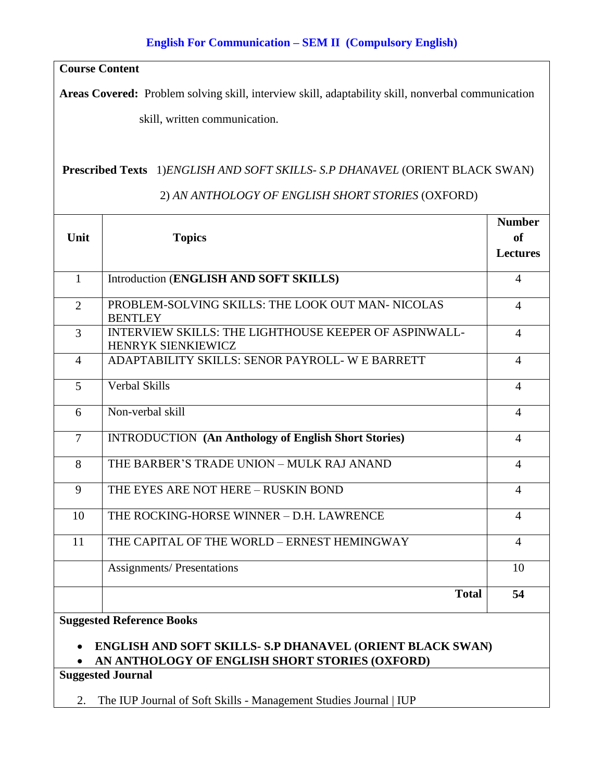#### **English For Communication – SEM II (Compulsory English)**

## **Course Content**

**Areas Covered:** Problem solving skill, interview skill, adaptability skill, nonverbal communication

skill, written communication.

#### **Prescribed Texts** 1)*ENGLISH AND SOFT SKILLS- S.P DHANAVEL* (ORIENT BLACK SWAN)

#### 2) *AN ANTHOLOGY OF ENGLISH SHORT STORIES* (OXFORD)

| Unit                                                                                                                                                   | <b>Topics</b>                                                                             | <b>Number</b><br>of<br><b>Lectures</b> |
|--------------------------------------------------------------------------------------------------------------------------------------------------------|-------------------------------------------------------------------------------------------|----------------------------------------|
| $\mathbf{1}$                                                                                                                                           | Introduction (ENGLISH AND SOFT SKILLS)                                                    | $\overline{4}$                         |
| $\overline{2}$                                                                                                                                         | PROBLEM-SOLVING SKILLS: THE LOOK OUT MAN-NICOLAS<br><b>BENTLEY</b>                        | $\overline{4}$                         |
| $\overline{3}$                                                                                                                                         | <b>INTERVIEW SKILLS: THE LIGHTHOUSE KEEPER OF ASPINWALL-</b><br><b>HENRYK SIENKIEWICZ</b> | $\overline{4}$                         |
| $\overline{4}$                                                                                                                                         | ADAPTABILITY SKILLS: SENOR PAYROLL- W E BARRETT                                           | $\overline{4}$                         |
| 5                                                                                                                                                      | <b>Verbal Skills</b>                                                                      | $\overline{4}$                         |
| 6                                                                                                                                                      | Non-verbal skill                                                                          | $\overline{4}$                         |
| $\overline{7}$                                                                                                                                         | <b>INTRODUCTION</b> (An Anthology of English Short Stories)                               | $\overline{4}$                         |
| 8                                                                                                                                                      | THE BARBER'S TRADE UNION - MULK RAJ ANAND                                                 | $\overline{4}$                         |
| 9                                                                                                                                                      | THE EYES ARE NOT HERE - RUSKIN BOND                                                       | $\overline{4}$                         |
| 10                                                                                                                                                     | THE ROCKING-HORSE WINNER - D.H. LAWRENCE                                                  | $\overline{4}$                         |
| 11                                                                                                                                                     | THE CAPITAL OF THE WORLD - ERNEST HEMINGWAY                                               | $\overline{4}$                         |
|                                                                                                                                                        | <b>Assignments/Presentations</b>                                                          | 10                                     |
|                                                                                                                                                        | <b>Total</b>                                                                              | 54                                     |
| <b>Suggested Reference Books</b><br><b>ENGLISH AND SOFT SKILLS- S.P DHANAVEL (ORIENT BLACK SWAN)</b><br>AN ANTHOLOGY OF ENGLISH SHORT STORIES (OXFORD) |                                                                                           |                                        |

**Suggested Journal** 

2. The IUP Journal of Soft Skills - Management Studies Journal | IUP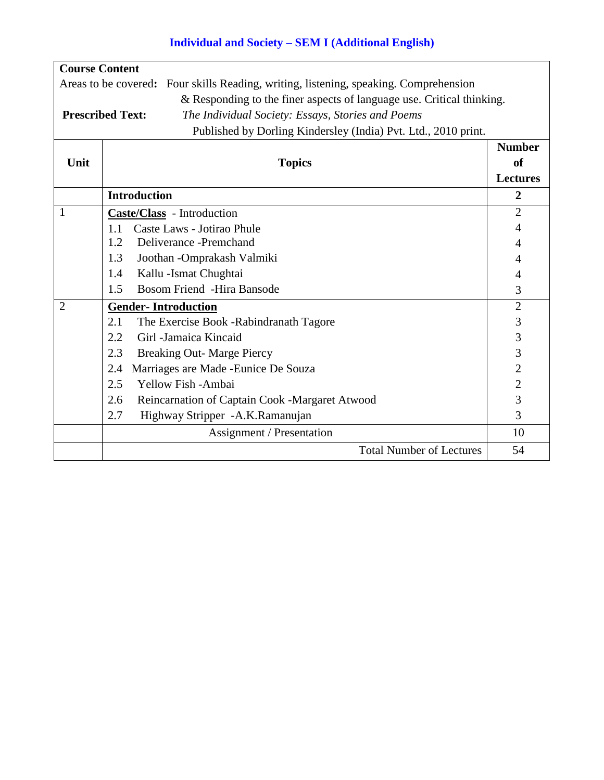# **Individual and Society – SEM I (Additional English)**

| <b>Course Content</b> |                                                                                       |                 |  |
|-----------------------|---------------------------------------------------------------------------------------|-----------------|--|
|                       | Areas to be covered: Four skills Reading, writing, listening, speaking. Comprehension |                 |  |
|                       | & Responding to the finer aspects of language use. Critical thinking.                 |                 |  |
|                       | <b>Prescribed Text:</b><br>The Individual Society: Essays, Stories and Poems          |                 |  |
|                       | Published by Dorling Kindersley (India) Pvt. Ltd., 2010 print.                        |                 |  |
|                       |                                                                                       | <b>Number</b>   |  |
| Unit                  | <b>Topics</b>                                                                         | <b>of</b>       |  |
|                       |                                                                                       | <b>Lectures</b> |  |
|                       | <b>Introduction</b>                                                                   | $\overline{2}$  |  |
|                       | Caste/Class - Introduction                                                            | $\overline{2}$  |  |
|                       | Caste Laws - Jotirao Phule<br>1.1                                                     | 4               |  |
|                       | 1.2<br>Deliverance - Premchand                                                        |                 |  |
|                       | 1.3<br>Joothan -Omprakash Valmiki                                                     | 4               |  |
|                       | Kallu - Ismat Chughtai<br>1.4                                                         | 4               |  |
|                       | <b>Bosom Friend -Hira Bansode</b><br>1.5                                              | 3               |  |
| $\overline{2}$        | <b>Gender-Introduction</b>                                                            | $\overline{2}$  |  |
|                       | 2.1<br>The Exercise Book - Rabindranath Tagore                                        | $\mathfrak{Z}$  |  |
|                       | 2.2<br>Girl - Jamaica Kincaid                                                         | $\mathfrak{Z}$  |  |
|                       | 2.3<br><b>Breaking Out-Marge Piercy</b>                                               | 3               |  |
|                       | Marriages are Made - Eunice De Souza<br>2.4                                           | $\overline{2}$  |  |
|                       | Yellow Fish -Ambai<br>2.5                                                             | $\overline{2}$  |  |
|                       | 2.6<br>Reincarnation of Captain Cook -Margaret Atwood                                 | 3               |  |
|                       | 2.7<br>Highway Stripper -A.K.Ramanujan                                                | 3               |  |
|                       | Assignment / Presentation                                                             | 10              |  |
|                       | <b>Total Number of Lectures</b>                                                       | 54              |  |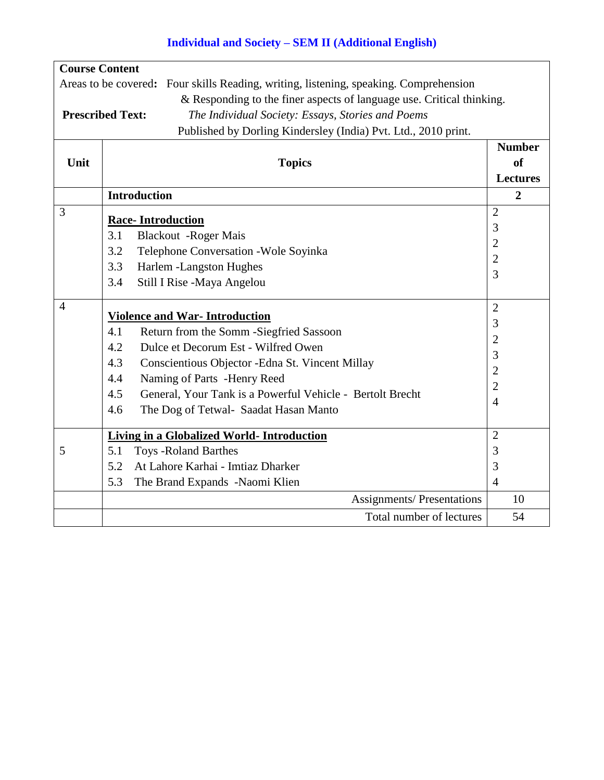# **Individual and Society – SEM II (Additional English)**

| <b>Course Content</b>                                                                 |                                                                              |                 |
|---------------------------------------------------------------------------------------|------------------------------------------------------------------------------|-----------------|
| Areas to be covered: Four skills Reading, writing, listening, speaking. Comprehension |                                                                              |                 |
|                                                                                       | & Responding to the finer aspects of language use. Critical thinking.        |                 |
|                                                                                       | <b>Prescribed Text:</b><br>The Individual Society: Essays, Stories and Poems |                 |
|                                                                                       | Published by Dorling Kindersley (India) Pvt. Ltd., 2010 print.               |                 |
|                                                                                       |                                                                              | <b>Number</b>   |
| Unit                                                                                  | <b>Topics</b>                                                                | <b>of</b>       |
|                                                                                       |                                                                              | <b>Lectures</b> |
|                                                                                       | <b>Introduction</b>                                                          | $\overline{2}$  |
| 3                                                                                     | <b>Race-Introduction</b>                                                     | $\overline{2}$  |
|                                                                                       | <b>Blackout</b> - Roger Mais<br>3.1                                          | 3               |
|                                                                                       | 3.2<br>Telephone Conversation - Wole Soyinka                                 | $\overline{2}$  |
|                                                                                       | 3.3<br>Harlem - Langston Hughes                                              | $\overline{2}$  |
|                                                                                       | 3.4<br>Still I Rise -Maya Angelou                                            | 3               |
|                                                                                       |                                                                              |                 |
| $\overline{4}$                                                                        | <b>Violence and War-Introduction</b>                                         | $\overline{2}$  |
|                                                                                       | 4.1<br>Return from the Somm -Siegfried Sassoon                               | 3               |
|                                                                                       | 4.2<br>Dulce et Decorum Est - Wilfred Owen                                   | 2               |
|                                                                                       | 4.3<br>Conscientious Objector - Edna St. Vincent Millay                      | 3               |
|                                                                                       | 4.4<br>Naming of Parts -Henry Reed                                           | $\overline{2}$  |
|                                                                                       | General, Your Tank is a Powerful Vehicle - Bertolt Brecht<br>4.5             | $\overline{2}$  |
|                                                                                       | 4.6<br>The Dog of Tetwal- Saadat Hasan Manto                                 | $\overline{4}$  |
|                                                                                       |                                                                              |                 |
|                                                                                       | <b>Living in a Globalized World- Introduction</b>                            | $\overline{2}$  |
| 5                                                                                     | 5.1<br><b>Toys - Roland Barthes</b>                                          | 3               |
|                                                                                       | 5.2<br>At Lahore Karhai - Imtiaz Dharker                                     | 3               |
|                                                                                       | 5.3<br>The Brand Expands -Naomi Klien                                        | $\overline{4}$  |
|                                                                                       | <b>Assignments/Presentations</b>                                             | 10              |
|                                                                                       | Total number of lectures                                                     | 54              |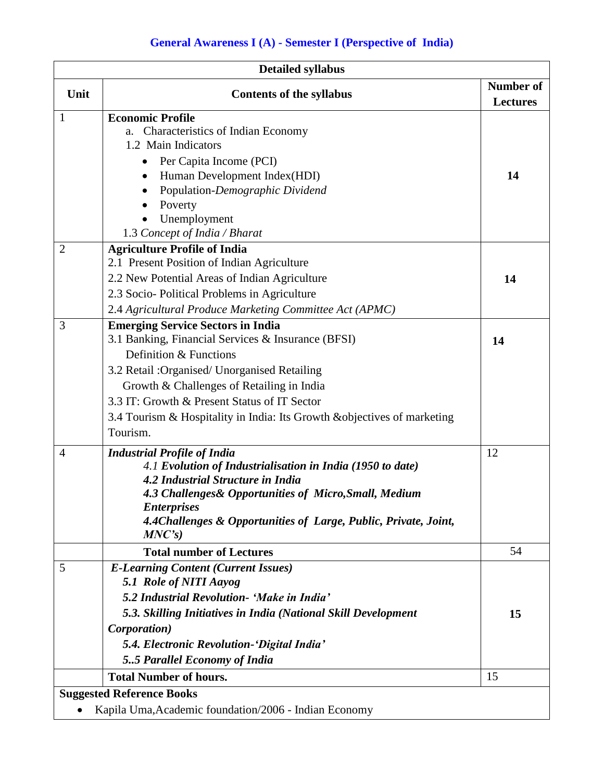| <b>Detailed syllabus</b> |                                                                                                                                                                                                                                                                                                                                                               |                                     |
|--------------------------|---------------------------------------------------------------------------------------------------------------------------------------------------------------------------------------------------------------------------------------------------------------------------------------------------------------------------------------------------------------|-------------------------------------|
| Unit                     | <b>Contents of the syllabus</b>                                                                                                                                                                                                                                                                                                                               | <b>Number of</b><br><b>Lectures</b> |
| 1                        | <b>Economic Profile</b><br><b>Characteristics of Indian Economy</b><br>a.<br>1.2 Main Indicators<br>Per Capita Income (PCI)<br>Human Development Index(HDI)<br>٠<br>Population-Demographic Dividend<br>Poverty<br>Unemployment<br>1.3 Concept of India / Bharat                                                                                               | 14                                  |
| $\overline{2}$           | <b>Agriculture Profile of India</b><br>2.1 Present Position of Indian Agriculture<br>2.2 New Potential Areas of Indian Agriculture<br>2.3 Socio-Political Problems in Agriculture<br>2.4 Agricultural Produce Marketing Committee Act (APMC)                                                                                                                  | 14                                  |
| 3                        | <b>Emerging Service Sectors in India</b><br>3.1 Banking, Financial Services & Insurance (BFSI)<br>Definition & Functions<br>3.2 Retail: Organised/ Unorganised Retailing<br>Growth & Challenges of Retailing in India<br>3.3 IT: Growth & Present Status of IT Sector<br>3.4 Tourism & Hospitality in India: Its Growth & objectives of marketing<br>Tourism. | 14                                  |
| $\overline{4}$           | <b>Industrial Profile of India</b><br>4.1 Evolution of Industrialisation in India (1950 to date)<br>4.2 Industrial Structure in India<br>4.3 Challenges& Opportunities of Micro, Small, Medium<br><b>Enterprises</b><br>4.4 Challenges & Opportunities of Large, Public, Private, Joint,<br>$MNC's$ )<br><b>Total number of Lectures</b>                      | 12<br>54                            |
| 5                        | <b>E-Learning Content (Current Issues)</b><br>5.1 Role of NITI Aayog<br>5.2 Industrial Revolution - 'Make in India'<br>5.3. Skilling Initiatives in India (National Skill Development<br>Corporation)<br>5.4. Electronic Revolution-'Digital India'<br>55 Parallel Economy of India                                                                           | 15                                  |
|                          | <b>Total Number of hours.</b>                                                                                                                                                                                                                                                                                                                                 | 15                                  |
|                          | <b>Suggested Reference Books</b>                                                                                                                                                                                                                                                                                                                              |                                     |
|                          | Kapila Uma, Academic foundation/2006 - Indian Economy                                                                                                                                                                                                                                                                                                         |                                     |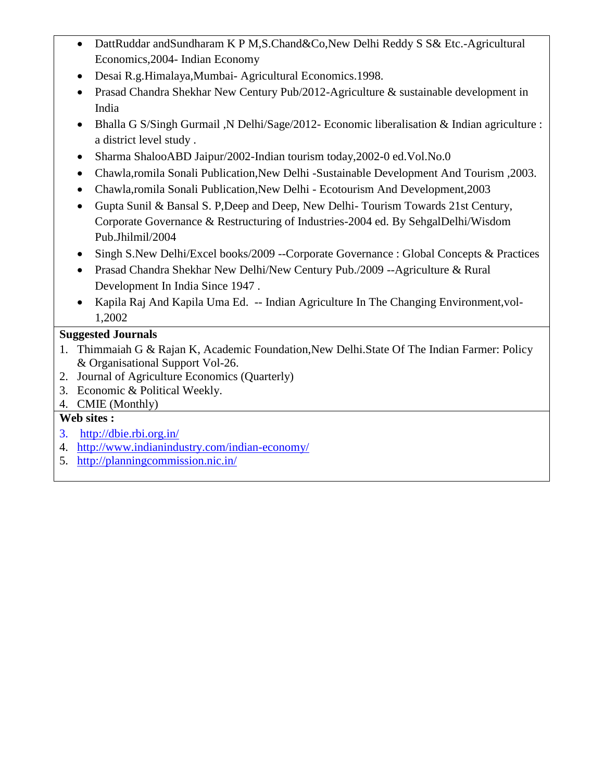- DattRuddar andSundharam K P M,S.Chand&Co,New Delhi Reddy S S& Etc.-Agricultural Economics,2004- Indian Economy
- Desai R.g.Himalaya,Mumbai- Agricultural Economics.1998.
- Prasad Chandra Shekhar New Century Pub/2012-Agriculture & sustainable development in India
- Bhalla G S/Singh Gurmail ,N Delhi/Sage/2012- Economic liberalisation & Indian agriculture : a district level study .
- Sharma ShalooABD Jaipur/2002-Indian tourism today, 2002-0 ed. Vol. No. 0
- Chawla,romila Sonali Publication,New Delhi -Sustainable Development And Tourism ,2003.
- Chawla,romila Sonali Publication,New Delhi Ecotourism And Development,2003
- Gupta Sunil & Bansal S. P,Deep and Deep, New Delhi- Tourism Towards 21st Century, Corporate Governance & Restructuring of Industries-2004 ed. By SehgalDelhi/Wisdom Pub.Jhilmil/2004
- Singh S.New Delhi/Excel books/2009 --Corporate Governance : Global Concepts & Practices
- Prasad Chandra Shekhar New Delhi/New Century Pub./2009 --Agriculture & Rural Development In India Since 1947 .
- Kapila Raj And Kapila Uma Ed. -- Indian Agriculture In The Changing Environment,vol-1,2002

## **Suggested Journals**

- 1. Thimmaiah G & Rajan K, Academic Foundation,New Delhi.State Of The Indian Farmer: Policy & Organisational Support Vol-26.
- 2. Journal of Agriculture Economics (Quarterly)
- 3. Economic & Political Weekly.

#### 4. CMIE (Monthly) **Web sites :**

- 3. <http://dbie.rbi.org.in/>
- 4. <http://www.indianindustry.com/indian-economy/>
- 5. <http://planningcommission.nic.in/>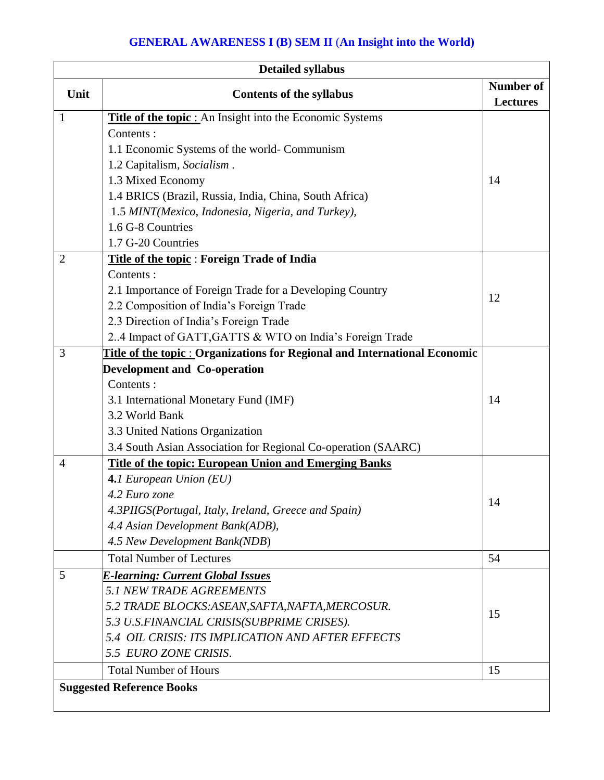# **GENERAL AWARENESS I (B) SEM II** (**An Insight into the World)**

| <b>Detailed syllabus</b> |                                                                            |                                     |
|--------------------------|----------------------------------------------------------------------------|-------------------------------------|
| Unit                     | <b>Contents of the syllabus</b>                                            | <b>Number of</b><br><b>Lectures</b> |
| $\mathbf{1}$             | <b>Title of the topic :</b> An Insight into the Economic Systems           |                                     |
|                          | Contents:                                                                  |                                     |
|                          | 1.1 Economic Systems of the world- Communism                               |                                     |
|                          | 1.2 Capitalism, Socialism.                                                 |                                     |
|                          | 1.3 Mixed Economy                                                          | 14                                  |
|                          | 1.4 BRICS (Brazil, Russia, India, China, South Africa)                     |                                     |
|                          | 1.5 MINT(Mexico, Indonesia, Nigeria, and Turkey),                          |                                     |
|                          | 1.6 G-8 Countries                                                          |                                     |
|                          | 1.7 G-20 Countries                                                         |                                     |
| $\overline{2}$           | Title of the topic: Foreign Trade of India                                 |                                     |
|                          | Contents:                                                                  |                                     |
|                          | 2.1 Importance of Foreign Trade for a Developing Country                   | 12                                  |
|                          | 2.2 Composition of India's Foreign Trade                                   |                                     |
|                          | 2.3 Direction of India's Foreign Trade                                     |                                     |
|                          | 2.4 Impact of GATT, GATTS & WTO on India's Foreign Trade                   |                                     |
| 3                        | Title of the topic : Organizations for Regional and International Economic |                                     |
|                          | <b>Development and Co-operation</b>                                        |                                     |
|                          | Contents:                                                                  |                                     |
|                          | 3.1 International Monetary Fund (IMF)                                      | 14                                  |
|                          | 3.2 World Bank                                                             |                                     |
|                          | 3.3 United Nations Organization                                            |                                     |
|                          | 3.4 South Asian Association for Regional Co-operation (SAARC)              |                                     |
| $\overline{4}$           | <b>Title of the topic: European Union and Emerging Banks</b>               |                                     |
|                          | 4.1 European Union (EU)                                                    |                                     |
|                          | 4.2 Euro zone                                                              | 14                                  |
|                          | 4.3PIIGS(Portugal, Italy, Ireland, Greece and Spain)                       |                                     |
|                          | 4.4 Asian Development Bank(ADB),                                           |                                     |
|                          | 4.5 New Development Bank(NDB)                                              |                                     |
|                          | <b>Total Number of Lectures</b>                                            | 54                                  |
| 5                        | <b>E-learning: Current Global Issues</b>                                   |                                     |
|                          | <b>5.1 NEW TRADE AGREEMENTS</b>                                            |                                     |
|                          | 5.2 TRADE BLOCKS:ASEAN, SAFTA, NAFTA, MERCOSUR.                            |                                     |
|                          | 5.3 U.S.FINANCIAL CRISIS(SUBPRIME CRISES).                                 | 15                                  |
|                          | 5.4 OIL CRISIS: ITS IMPLICATION AND AFTER EFFECTS                          |                                     |
|                          | 5.5 EURO ZONE CRISIS.                                                      |                                     |
|                          | <b>Total Number of Hours</b>                                               | 15                                  |
|                          | <b>Suggested Reference Books</b>                                           |                                     |
|                          |                                                                            |                                     |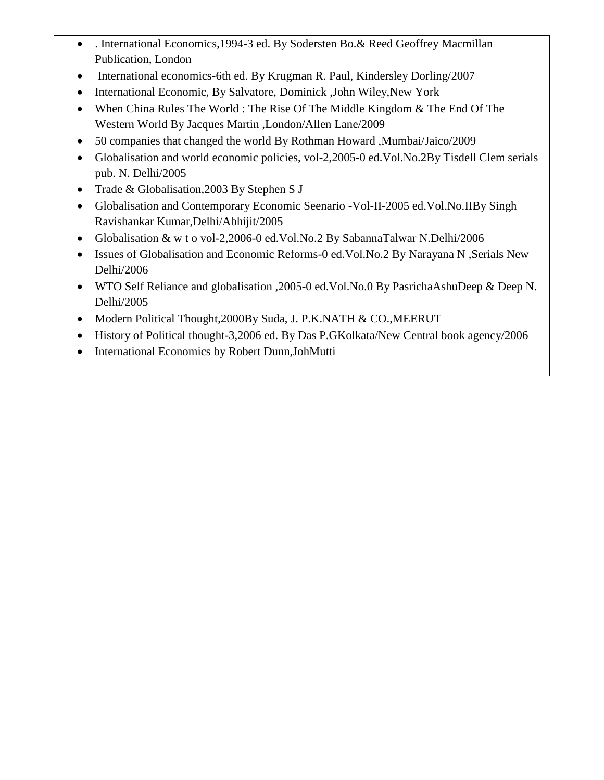- . International Economics,1994-3 ed. By Sodersten Bo.& Reed Geoffrey Macmillan Publication, London
- International economics-6th ed. By Krugman R. Paul, Kindersley Dorling/2007
- International Economic, By Salvatore, Dominick ,John Wiley,New York
- When China Rules The World : The Rise Of The Middle Kingdom & The End Of The Western World By Jacques Martin ,London/Allen Lane/2009
- 50 companies that changed the world By Rothman Howard ,Mumbai/Jaico/2009
- Globalisation and world economic policies, vol-2,2005-0 ed.Vol.No.2By Tisdell Clem serials pub. N. Delhi/2005
- Trade & Globalisation,2003 By Stephen S J
- Globalisation and Contemporary Economic Seenario -Vol-II-2005 ed.Vol.No.IIBy Singh Ravishankar Kumar,Delhi/Abhijit/2005
- Globalisation & w t o vol-2,2006-0 ed.Vol.No.2 By SabannaTalwar N.Delhi/2006
- Issues of Globalisation and Economic Reforms-0 ed.Vol.No.2 By Narayana N ,Serials New Delhi/2006
- WTO Self Reliance and globalisation ,2005-0 ed.Vol.No.0 By PasrichaAshuDeep & Deep N. Delhi/2005
- Modern Political Thought, 2000By Suda, J. P.K.NATH & CO., MEERUT
- History of Political thought-3,2006 ed. By Das P.GKolkata/New Central book agency/2006
- International Economics by Robert Dunn, Joh Mutti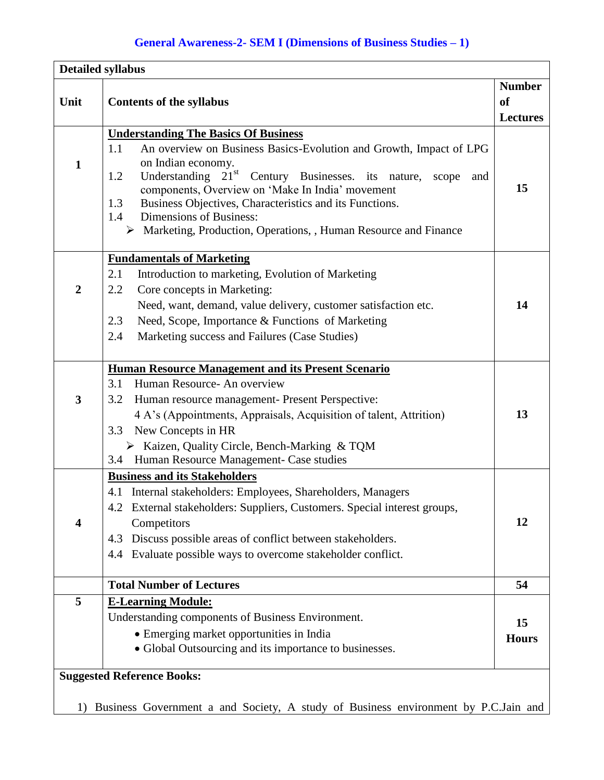# **General Awareness-2- SEM I (Dimensions of Business Studies – 1)**

|                         | <b>Detailed syllabus</b>                                                                                                                                                                                                                                                                                                                                                                                                                                             |                                                   |
|-------------------------|----------------------------------------------------------------------------------------------------------------------------------------------------------------------------------------------------------------------------------------------------------------------------------------------------------------------------------------------------------------------------------------------------------------------------------------------------------------------|---------------------------------------------------|
| Unit                    | <b>Contents of the syllabus</b>                                                                                                                                                                                                                                                                                                                                                                                                                                      | <b>Number</b><br><sub>of</sub><br><b>Lectures</b> |
| $\mathbf{1}$            | <b>Understanding The Basics Of Business</b><br>1.1<br>An overview on Business Basics-Evolution and Growth, Impact of LPG<br>on Indian economy.<br>Understanding 21 <sup>st</sup> Century Businesses. its nature,<br>1.2<br>scope<br>and<br>components, Overview on 'Make In India' movement<br>Business Objectives, Characteristics and its Functions.<br>1.3<br>Dimensions of Business:<br>1.4<br>> Marketing, Production, Operations, , Human Resource and Finance | 15                                                |
| $\overline{2}$          | <b>Fundamentals of Marketing</b><br>2.1<br>Introduction to marketing, Evolution of Marketing<br>2.2<br>Core concepts in Marketing:<br>Need, want, demand, value delivery, customer satisfaction etc.<br>2.3<br>Need, Scope, Importance & Functions of Marketing<br>2.4<br>Marketing success and Failures (Case Studies)                                                                                                                                              | 14                                                |
| $\mathbf{3}$            | <b>Human Resource Management and its Present Scenario</b><br>Human Resource- An overview<br>3.1<br>3.2<br>Human resource management- Present Perspective:<br>4 A's (Appointments, Appraisals, Acquisition of talent, Attrition)<br>New Concepts in HR<br>3.3<br>$\triangleright$ Kaizen, Quality Circle, Bench-Marking & TQM<br>3.4 Human Resource Management- Case studies                                                                                          | 13                                                |
| $\overline{\mathbf{4}}$ | <b>Business and its Stakeholders</b><br>4.1 Internal stakeholders: Employees, Shareholders, Managers<br>4.2 External stakeholders: Suppliers, Customers. Special interest groups,<br>Competitors<br>Discuss possible areas of conflict between stakeholders.<br>4.3<br>4.4 Evaluate possible ways to overcome stakeholder conflict.                                                                                                                                  | 12                                                |
|                         | <b>Total Number of Lectures</b>                                                                                                                                                                                                                                                                                                                                                                                                                                      | 54                                                |
| 5                       | <b>E-Learning Module:</b><br>Understanding components of Business Environment.<br>• Emerging market opportunities in India<br>• Global Outsourcing and its importance to businesses.                                                                                                                                                                                                                                                                                 | 15<br><b>Hours</b>                                |
|                         | <b>Suggested Reference Books:</b><br>1) Business Government a and Society, A study of Business environment by P.C.Jain and                                                                                                                                                                                                                                                                                                                                           |                                                   |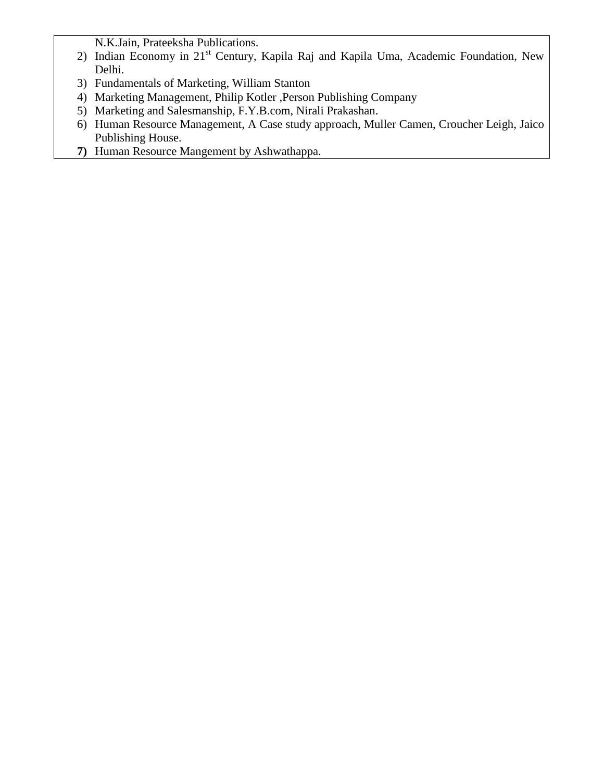N.K.Jain, Prateeksha Publications.

- 2) Indian Economy in 21<sup>st</sup> Century, Kapila Raj and Kapila Uma, Academic Foundation, New Delhi.
- 3) Fundamentals of Marketing, William Stanton
- 4) Marketing Management, Philip Kotler ,Person Publishing Company
- 5) Marketing and Salesmanship, F.Y.B.com, Nirali Prakashan.
- 6) Human Resource Management, A Case study approach, Muller Camen, Croucher Leigh, Jaico Publishing House.
- **7)** Human Resource Mangement by Ashwathappa.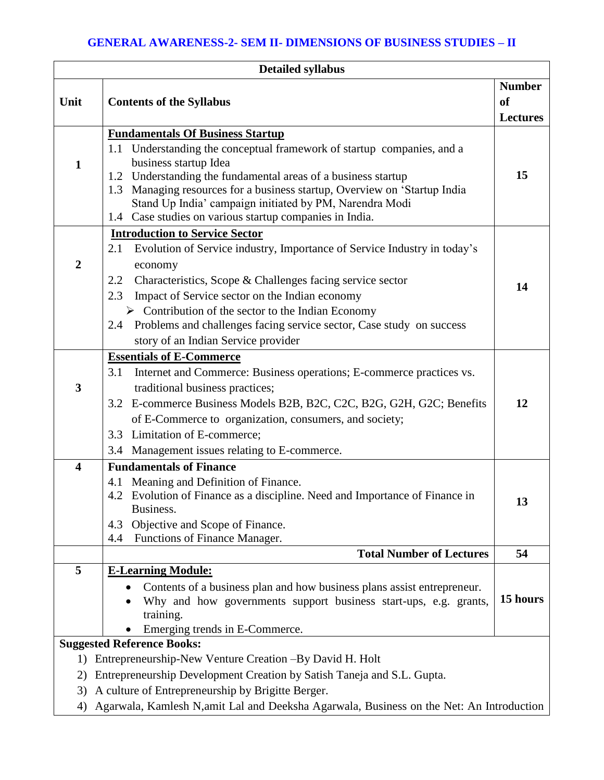## **GENERAL AWARENESS-2- SEM II- DIMENSIONS OF BUSINESS STUDIES – II**

| <b>Detailed syllabus</b> |                                                                                                                                               |                                               |
|--------------------------|-----------------------------------------------------------------------------------------------------------------------------------------------|-----------------------------------------------|
| Unit                     | <b>Contents of the Syllabus</b>                                                                                                               | <b>Number</b><br><b>of</b><br><b>Lectures</b> |
|                          | <b>Fundamentals Of Business Startup</b>                                                                                                       |                                               |
| 1                        | Understanding the conceptual framework of startup companies, and a<br>1.1<br>business startup Idea                                            |                                               |
|                          | 1.2 Understanding the fundamental areas of a business startup<br>Managing resources for a business startup, Overview on 'Startup India<br>1.3 | 15                                            |
|                          | Stand Up India' campaign initiated by PM, Narendra Modi<br>1.4 Case studies on various startup companies in India.                            |                                               |
|                          | <b>Introduction to Service Sector</b>                                                                                                         |                                               |
|                          | Evolution of Service industry, Importance of Service Industry in today's<br>2.1                                                               |                                               |
| $\overline{2}$           | economy                                                                                                                                       |                                               |
|                          | Characteristics, Scope & Challenges facing service sector<br>2.2                                                                              | 14                                            |
|                          | Impact of Service sector on the Indian economy<br>2.3                                                                                         |                                               |
|                          | $\triangleright$ Contribution of the sector to the Indian Economy                                                                             |                                               |
|                          | Problems and challenges facing service sector, Case study on success<br>2.4                                                                   |                                               |
|                          | story of an Indian Service provider                                                                                                           |                                               |
|                          | <b>Essentials of E-Commerce</b>                                                                                                               |                                               |
|                          | Internet and Commerce: Business operations; E-commerce practices vs.<br>3.1                                                                   |                                               |
| 3                        | traditional business practices;                                                                                                               |                                               |
|                          | 3.2 E-commerce Business Models B2B, B2C, C2C, B2G, G2H, G2C; Benefits                                                                         | 12                                            |
|                          | of E-Commerce to organization, consumers, and society;                                                                                        |                                               |
|                          | 3.3 Limitation of E-commerce;                                                                                                                 |                                               |
|                          | 3.4 Management issues relating to E-commerce.                                                                                                 |                                               |
| $\overline{\mathbf{4}}$  | <b>Fundamentals of Finance</b>                                                                                                                |                                               |
|                          | 4.1 Meaning and Definition of Finance.<br>4.2 Evolution of Finance as a discipline. Need and Importance of Finance in                         |                                               |
|                          | Business.                                                                                                                                     | 13                                            |
|                          | Objective and Scope of Finance.<br>4.3                                                                                                        |                                               |
|                          | Functions of Finance Manager.<br>4.4                                                                                                          |                                               |
|                          | <b>Total Number of Lectures</b>                                                                                                               | 54                                            |
| 5                        | <b>E-Learning Module:</b>                                                                                                                     |                                               |
|                          | Contents of a business plan and how business plans assist entrepreneur.                                                                       | 15 hours                                      |
|                          | Why and how governments support business start-ups, e.g. grants,<br>training.                                                                 |                                               |
|                          | Emerging trends in E-Commerce.                                                                                                                |                                               |
|                          | <b>Suggested Reference Books:</b>                                                                                                             |                                               |
| 1)                       | Entrepreneurship-New Venture Creation -By David H. Holt                                                                                       |                                               |
| 2)                       | Entrepreneurship Development Creation by Satish Taneja and S.L. Gupta.                                                                        |                                               |
| 3)                       | A culture of Entrepreneurship by Brigitte Berger.                                                                                             |                                               |
| 4)                       | Agarwala, Kamlesh N, amit Lal and Deeksha Agarwala, Business on the Net: An Introduction                                                      |                                               |